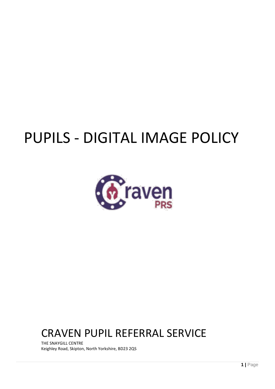# PUPILS - DIGITAL IMAGE POLICY



# CRAVEN PUPIL REFERRAL SERVICE

THE SNAYGILL CENTRE Keighley Road, Skipton, North Yorkshire, BD23 2QS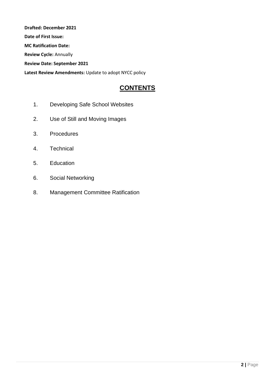**Drafted: December 2021 Date of First Issue: MC Ratification Date: Review Cycle:** Annually **Review Date: September 2021 Latest Review Amendments:** Update to adopt NYCC policy

### **CONTENTS**

- 1. Developing Safe School Websites
- 2. Use of Still and Moving Images
- 3. Procedures
- 4. Technical
- 5. Education
- 6. Social Networking
- 8. Management Committee Ratification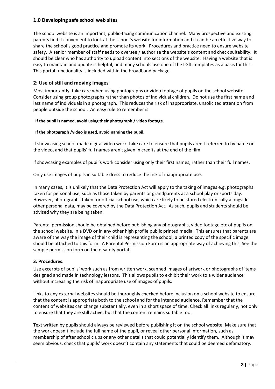#### **1.0 Developing safe school web sites**

The school website is an important, public-facing communication channel. Many prospective and existing parents find it convenient to look at the school's website for information and it can be an effective way to share the school's good practice and promote its work. Procedures and practice need to ensure website safety. A senior member of staff needs to oversee / authorise the website's content and check suitability. It should be clear who has authority to upload content into sections of the website. Having a website that is easy to maintain and update is helpful, and many schools use one of the LGfL templates as a basis for this. This portal functionality is included within the broadband package.

#### **2: Use of still and moving images**

Most importantly, take care when using photographs or video footage of pupils on the school website. Consider using group photographs rather than photos of individual children. Do not use the first name and last name of individuals in a photograph. This reduces the risk of inappropriate, unsolicited attention from people outside the school. An easy rule to remember is:

#### **If the pupil is named, avoid using their photograph / video footage.**

#### **If the photograph /video is used, avoid naming the pupil.**

If showcasing school-made digital video work, take care to ensure that pupils aren't referred to by name on the video, and that pupils' full names aren't given in credits at the end of the film

If showcasing examples of pupil's work consider using only their first names, rather than their full names.

Only use images of pupils in suitable dress to reduce the risk of inappropriate use.

In many cases, it is unlikely that the Data Protection Act will apply to the taking of images e.g. photographs taken for personal use, such as those taken by parents or grandparents at a school play or sports day. However, photographs taken for official school use, which are likely to be stored electronically alongside other personal data, may be covered by the Data Protection Act. As such, pupils and students should be advised why they are being taken.

Parental permission should be obtained before publishing any photographs, video footage etc of pupils on the school website, in a DVD or in any other high profile public printed media. This ensures that parents are aware of the way the image of their child is representing the school; a printed copy of the specific image should be attached to this form. A Parental Permission Form is an appropriate way of achieving this. See the sample permission form on the e-safety portal.

#### **3: Procedures:**

Use excerpts of pupils' work such as from written work, scanned images of artwork or photographs of items designed and made in technology lessons. This allows pupils to exhibit their work to a wider audience without increasing the risk of inappropriate use of images of pupils.

Links to any external websites should be thoroughly checked before inclusion on a school website to ensure that the content is appropriate both to the school and for the intended audience. Remember that the content of websites can change substantially, even in a short space of time. Check all links regularly, not only to ensure that they are still active, but that the content remains suitable too.

Text written by pupils should always be reviewed before publishing it on the school website. Make sure that the work doesn't include the full name of the pupil, or reveal other personal information, such as membership of after school clubs or any other details that could potentially identify them. Although it may seem obvious, check that pupils' work doesn't contain any statements that could be deemed defamatory.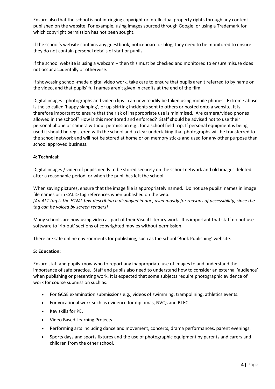Ensure also that the school is not infringing copyright or intellectual property rights through any content published on the website. For example, using images sourced through Google, or using a Trademark for which copyright permission has not been sought.

If the school's website contains any guestbook, noticeboard or blog, they need to be monitored to ensure they do not contain personal details of staff or pupils.

If the school website is using a webcam – then this must be checked and monitored to ensure misuse does not occur accidentally or otherwise.

If showcasing school-made digital video work, take care to ensure that pupils aren't referred to by name on the video, and that pupils' full names aren't given in credits at the end of the film.

Digital images - photographs and video clips - can now readily be taken using mobile phones. Extreme abuse is the so called 'happy slapping', or up skirting incidents sent to others or posted onto a website. It is therefore important to ensure that the risk of inappropriate use is minimised. Are camera/video phones allowed in the school? How is this monitored and enforced? Staff should be advised not to use their personal phone or camera without permission e.g., for a school field trip. If personal equipment is being used it should be registered with the school and a clear undertaking that photographs will be transferred to the school network and will not be stored at home or on memory sticks and used for any other purpose than school approved business.

#### **4: Technical:**

Digital images / video of pupils needs to be stored securely on the school network and old images deleted after a reasonable period, or when the pupil has left the school.

When saving pictures, ensure that the image file is appropriately named. Do not use pupils' names in image file names or in <ALT> tag references when published on the web. *[An ALT tag is the HTML text describing a displayed image, used mostly for reasons of accessibility, since the tag can be voiced by screen readers]*

Many schools are now using video as part of their Visual Literacy work. It is important that staff do not use software to 'rip-out' sections of copyrighted movies without permission.

There are safe online environments for publishing, such as the school 'Book Publishing' website.

#### **5: Education:**

Ensure staff and pupils know who to report any inappropriate use of images to and understand the importance of safe practice. Staff and pupils also need to understand how to consider an external 'audience' when publishing or presenting work. It is expected that some subjects require photographic evidence of work for course submission such as:

- For GCSE examination submissions e.g., videos of swimming, trampolining, athletics events.
- For vocational work such as evidence for diplomas, NVQs and BTEC.
- Key skills for PE.
- Video Based Learning Projects
- Performing arts including dance and movement, concerts, drama performances, parent evenings.
- Sports days and sports fixtures and the use of photographic equipment by parents and carers and children from the other school.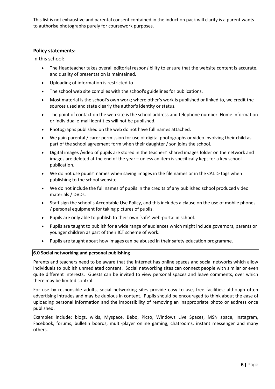This list is not exhaustive and parental consent contained in the induction pack will clarify is a parent wants to authorise photographs purely for coursework purposes.

#### **Policy statements:**

In this school:

- The Headteacher takes overall editorial responsibility to ensure that the website content is accurate, and quality of presentation is maintained.
- Uploading of information is restricted to
- The school web site complies with the school's guidelines for publications.
- Most material is the school's own work; where other's work is published or linked to, we credit the sources used and state clearly the author's identity or status.
- The point of contact on the web site is the school address and telephone number. Home information or individual e-mail identities will not be published.
- Photographs published on the web do not have full names attached.
- We gain parental / carer permission for use of digital photographs or video involving their child as part of the school agreement form when their daughter / son joins the school.
- Digital images /video of pupils are stored in the teachers' shared images folder on the network and images are deleted at the end of the year – unless an item is specifically kept for a key school publication.
- We do not use pupils' names when saving images in the file names or in the <ALT> tags when publishing to the school website.
- We do not include the full names of pupils in the credits of any published school produced video materials / DVDs.
- Staff sign the school's Acceptable Use Policy, and this includes a clause on the use of mobile phones / personal equipment for taking pictures of pupils.
- Pupils are only able to publish to their own 'safe' web-portal in school.
- Pupils are taught to publish for a wide range of audiences which might include governors, parents or younger children as part of their ICT scheme of work.
- Pupils are taught about how images can be abused in their safety education programme.

#### **6.0 Social networking and personal publishing**

Parents and teachers need to be aware that the Internet has online spaces and social networks which allow individuals to publish unmediated content. Social networking sites can connect people with similar or even quite different interests. Guests can be invited to view personal spaces and leave comments, over which there may be limited control.

For use by responsible adults, social networking sites provide easy to use, free facilities; although often advertising intrudes and may be dubious in content. Pupils should be encouraged to think about the ease of uploading personal information and the impossibility of removing an inappropriate photo or address once published.

Examples include: blogs, wikis, Myspace, Bebo, Piczo, Windows Live Spaces, MSN space, Instagram, Facebook, forums, bulletin boards, multi-player online gaming, chatrooms, instant messenger and many others.